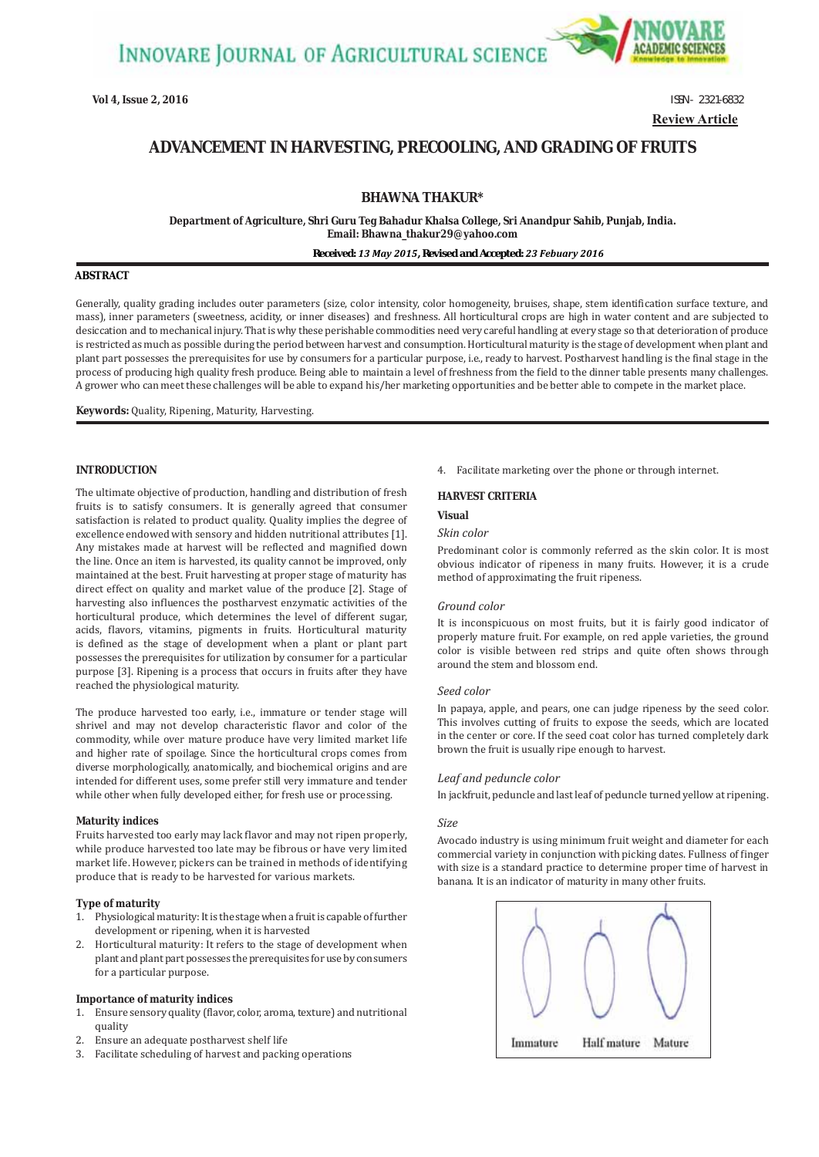

**Vol 4, Issue 2, 2016 ISSN - 2321-6832 Review Article**

# **ADVANCEMENT IN HARVESTING, PRECOOLING, AND GRADING OF FRUITS**

# **BHAWNA THAKUR\***

**Department of Agriculture, Shri Guru Teg Bahadur Khalsa College, Sri Anandpur Sahib, Punjab, India. Email: Bhawna\_thakur29@yahoo.com**

### *Received: 13 May 2015, Revised and Accepted: 23 Febuary 2016*

## **ABSTRACT**

Generally, quality grading includes outer parameters (size, color intensity, color homogeneity, bruises, shape, stem identification surface texture, and mass), inner parameters (sweetness, acidity, or inner diseases) and freshness. All horticultural crops are high in water content and are subjected to desiccation and to mechanical injury. That is why these perishable commodities need very careful handling at every stage so that deterioration of produce is restricted as much as possible during the period between harvest and consumption. Horticultural maturity is the stage of development when plant and plant part possesses the prerequisites for use by consumers for a particular purpose, i.e., ready to harvest. Postharvest handling is the final stage in the process of producing high quality fresh produce. Being able to maintain a level of freshness from the field to the dinner table presents many challenges. A grower who can meet these challenges will be able to expand his/her marketing opportunities and be better able to compete in the market place.

**Keywords:** Quality, Ripening, Maturity, Harvesting.

## **INTRODUCTION**

The ultimate objective of production, handling and distribution of fresh fruits is to satisfy consumers. It is generally agreed that consumer satisfaction is related to product quality. Quality implies the degree of excellence endowed with sensory and hidden nutritional attributes [1]. Any mistakes made at harvest will be reflected and magnified down the line. Once an item is harvested, its quality cannot be improved, only maintained at the best. Fruit harvesting at proper stage of maturity has direct effect on quality and market value of the produce [2]. Stage of harvesting also influences the postharvest enzymatic activities of the horticultural produce, which determines the level of different sugar, acids, flavors, vitamins, pigments in fruits. Horticultural maturity is defined as the stage of development when a plant or plant part possesses the prerequisites for utilization by consumer for a particular purpose [3]. Ripening is a process that occurs in fruits after they have reached the physiological maturity.

The produce harvested too early, i.e., immature or tender stage will shrivel and may not develop characteristic flavor and color of the commodity, while over mature produce have very limited market life and higher rate of spoilage. Since the horticultural crops comes from diverse morphologically, anatomically, and biochemical origins and are intended for different uses, some prefer still very immature and tender while other when fully developed either, for fresh use or processing.

### **Maturity indices**

Fruits harvested too early may lack flavor and may not ripen properly, while produce harvested too late may be fibrous or have very limited market life. However, pickers can be trained in methods of identifying produce that is ready to be harvested for various markets.

## **Type of maturity**

- 1. Physiological maturity: It is the stage when a fruit is capable of further development or ripening, when it is harvested
- 2. Horticultural maturity: It refers to the stage of development when plant and plant part possesses the prerequisites for use by consumers for a particular purpose.

### **Importance of maturity indices**

- 1. Ensure sensory quality (flavor, color, aroma, texture) and nutritional quality
- 2. Ensure an adequate postharvest shelf life
- 3. Facilitate scheduling of harvest and packing operations

4. Facilitate marketing over the phone or through internet.

### **HARVEST CRITERIA**

### **Visual**

### *Skin color*

Predominant color is commonly referred as the skin color. It is most obvious indicator of ripeness in many fruits. However, it is a crude method of approximating the fruit ripeness.

### *Ground color*

It is inconspicuous on most fruits, but it is fairly good indicator of properly mature fruit. For example, on red apple varieties, the ground color is visible between red strips and quite often shows through around the stem and blossom end.

## *Seed color*

In papaya, apple, and pears, one can judge ripeness by the seed color. This involves cutting of fruits to expose the seeds, which are located in the center or core. If the seed coat color has turned completely dark brown the fruit is usually ripe enough to harvest.

## *Leaf and peduncle color*

In jackfruit, peduncle and last leaf of peduncle turned yellow at ripening.

### *Size*

Avocado industry is using minimum fruit weight and diameter for each commercial variety in conjunction with picking dates. Fullness of finger with size is a standard practice to determine proper time of harvest in banana. It is an indicator of maturity in many other fruits.

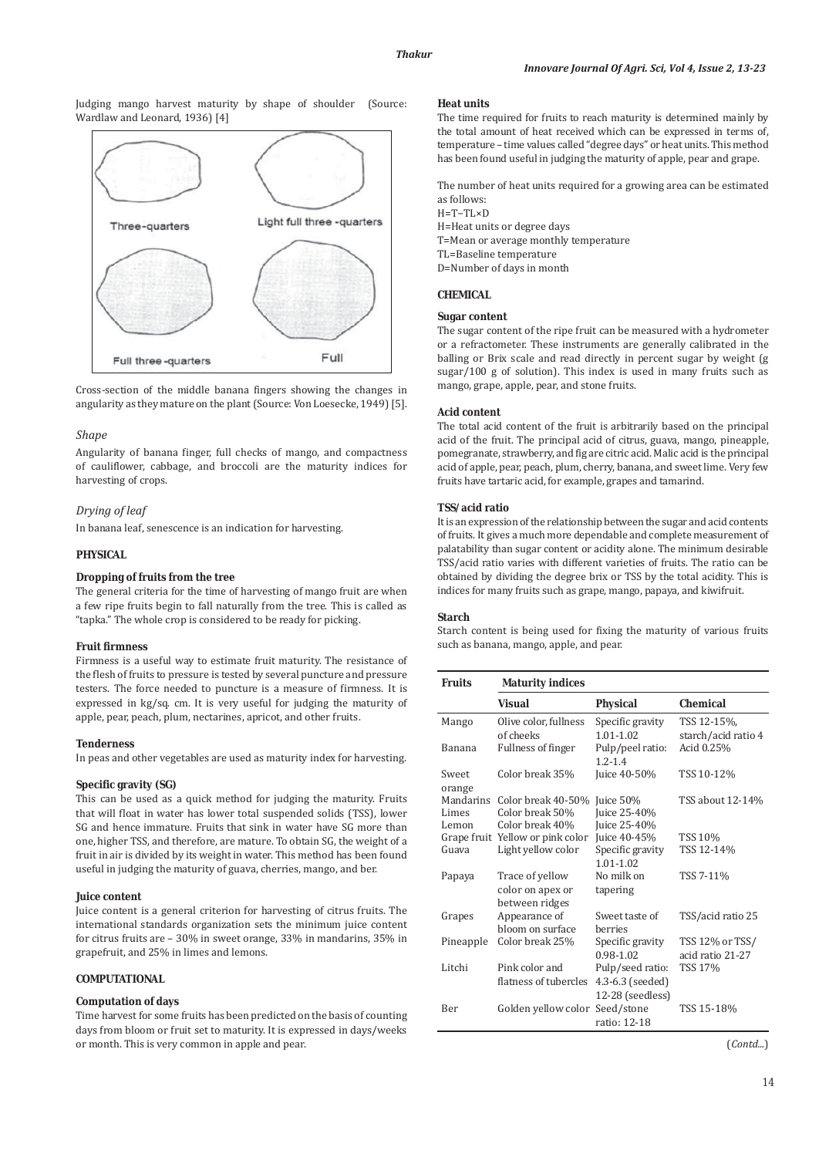Judging mango harvest maturity by shape of shoulder (Source: Wardlaw and Leonard, 1936) [4]



Cross-section of the middle banana fingers showing the changes in angularity as they mature on the plant (Source: Von Loesecke, 1949) [5].

### *Shape*

Angularity of banana finger, full checks of mango, and compactness of cauliflower, cabbage, and broccoli are the maturity indices for harvesting of crops.

## *Drying of leaf*

In banana leaf, senescence is an indication for harvesting.

## **PHYSICAL**

## **Dropping of fruits from the tree**

The general criteria for the time of harvesting of mango fruit are when a few ripe fruits begin to fall naturally from the tree. This is called as "tapka." The whole crop is considered to be ready for picking.

#### **Fruit firmness**

Firmness is a useful way to estimate fruit maturity. The resistance of the flesh of fruits to pressure is tested by several puncture and pressure testers. The force needed to puncture is a measure of firmness. It is expressed in kg/sq. cm. It is very useful for judging the maturity of apple, pear, peach, plum, nectarines, apricot, and other fruits.

### **Tenderness**

In peas and other vegetables are used as maturity index for harvesting.

## **Specific gravity (SG)**

This can be used as a quick method for judging the maturity. Fruits that will float in water has lower total suspended solids (TSS), lower SG and hence immature. Fruits that sink in water have SG more than one, higher TSS, and therefore, are mature. To obtain SG, the weight of a fruit in air is divided by its weight in water. This method has been found useful in judging the maturity of guava, cherries, mango, and ber.

### **Juice content**

Juice content is a general criterion for harvesting of citrus fruits. The international standards organization sets the minimum juice content for citrus fruits are – 30% in sweet orange, 33% in mandarins, 35% in grapefruit, and 25% in limes and lemons.

### **COMPUTATIONAL**

## **Computation of days**

Time harvest for some fruits has been predicted on the basis of counting days from bloom or fruit set to maturity. It is expressed in days/weeks or month. This is very common in apple and pear.

### **Heat units**

The time required for fruits to reach maturity is determined mainly by the total amount of heat received which can be expressed in terms of, temperature – time values called "degree days" or heat units. This method has been found useful in judging the maturity of apple, pear and grape.

The number of heat units required for a growing area can be estimated as follows: H=T−TL×D

H=Heat units or degree days T=Mean or average monthly temperature TL=Baseline temperature D=Number of days in month

## **CHEMICAL**

## **Sugar content**

The sugar content of the ripe fruit can be measured with a hydrometer or a refractometer. These instruments are generally calibrated in the balling or Brix scale and read directly in percent sugar by weight (g sugar/100 g of solution). This index is used in many fruits such as mango, grape, apple, pear, and stone fruits.

### **Acid content**

The total acid content of the fruit is arbitrarily based on the principal acid of the fruit. The principal acid of citrus, guava, mango, pineapple, pomegranate, strawberry, and fig are citric acid. Malic acid is the principal acid of apple, pear, peach, plum, cherry, banana, and sweet lime. Very few fruits have tartaric acid, for example, grapes and tamarind.

### **TSS/acid ratio**

It is an expression of the relationship between the sugar and acid contents of fruits. It gives a much more dependable and complete measurement of palatability than sugar content or acidity alone. The minimum desirable TSS/acid ratio varies with different varieties of fruits. The ratio can be obtained by dividing the degree brix or TSS by the total acidity. This is indices for many fruits such as grape, mango, papaya, and kiwifruit.

#### **Starch**

Starch content is being used for fixing the maturity of various fruits such as banana, mango, apple, and pear.

| Fruits    | <b>Maturity indices</b>          |                  |                     |
|-----------|----------------------------------|------------------|---------------------|
|           | Visual                           | <b>Physical</b>  | <b>Chemical</b>     |
| Mango     | Olive color, fullness            | Specific gravity | TSS 12-15%,         |
|           | of cheeks                        | $1.01 - 1.02$    | starch/acid ratio 4 |
| Banana    | <b>Fullness of finger</b>        | Pulp/peel ratio: | Acid 0.25%          |
|           |                                  | $1.2 - 1.4$      |                     |
| Sweet     | Color break 35%                  | Juice 40-50%     | TSS 10-12%          |
| orange    |                                  |                  |                     |
| Mandarins | Color break 40-50%               | Juice 50%        | TSS about 12-14%    |
| Limes     | Color break 50%                  | Juice 25-40%     |                     |
| Lemon     | Color break 40%                  | Juice 25-40%     |                     |
|           | Grape fruit Yellow or pink color | Juice 40-45%     | <b>TSS 10%</b>      |
| Guava     | Light yellow color               | Specific gravity | TSS 12-14%          |
|           |                                  | $1.01 - 1.02$    |                     |
| Papaya    | Trace of yellow                  | No milk on       | TSS 7-11%           |
|           | color on apex or                 | tapering         |                     |
|           | between ridges                   |                  |                     |
| Grapes    | Appearance of                    | Sweet taste of   | TSS/acid ratio 25   |
|           | bloom on surface                 | berries          |                     |
| Pineapple | Color break 25%                  | Specific gravity | TSS 12% or TSS/     |
|           |                                  | 0.98-1.02        | acid ratio 21-27    |
| Litchi    | Pink color and                   | Pulp/seed ratio: | <b>TSS 17%</b>      |
|           | flatness of tubercles            | 4.3-6.3 (seeded) |                     |
|           |                                  | 12-28 (seedless) |                     |
| Ber       | Golden yellow color              | Seed/stone       | TSS 15-18%          |
|           |                                  | ratio: 12-18     |                     |

(*Contd...*)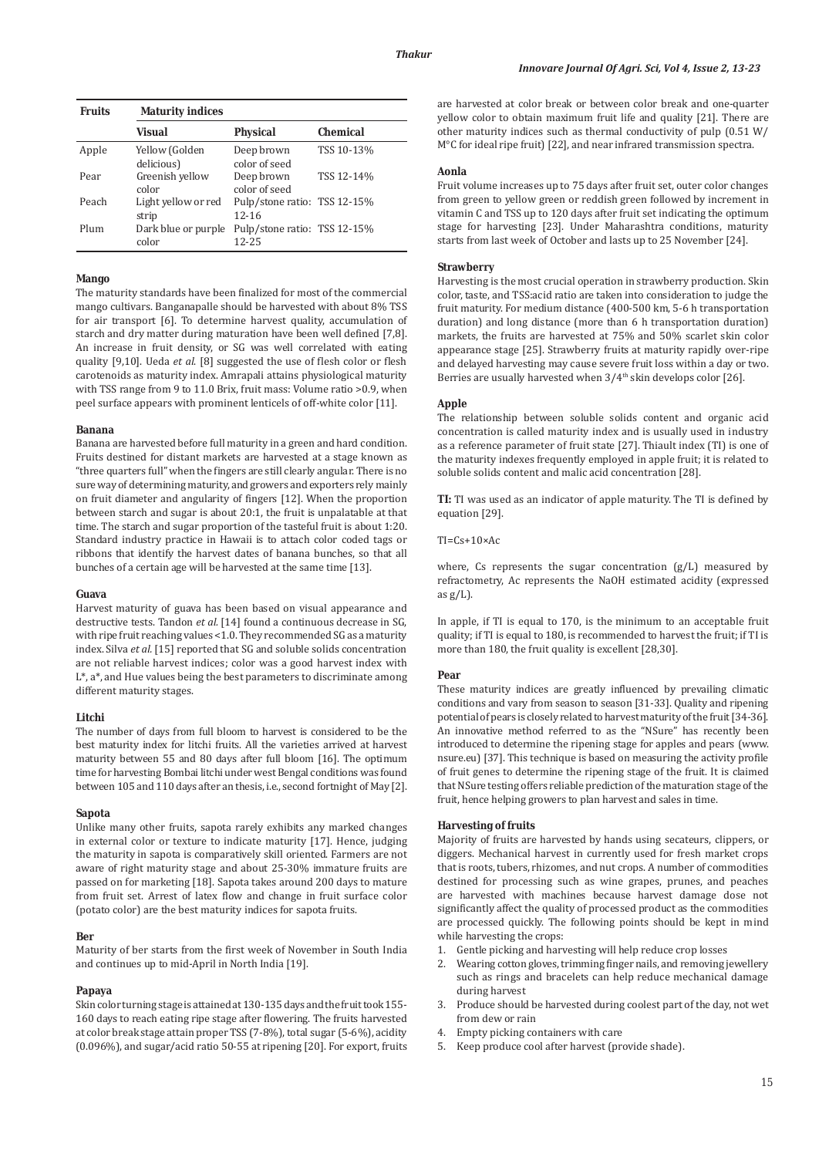| <b>Fruits</b> | <b>Maturity indices</b>      |                                           |                 |
|---------------|------------------------------|-------------------------------------------|-----------------|
|               | <b>Visual</b>                | <b>Physical</b>                           | <b>Chemical</b> |
| Apple         | Yellow (Golden<br>delicious) | Deep brown<br>color of seed               | TSS 10-13%      |
| Pear          | Greenish yellow<br>color     | Deep brown<br>color of seed               | TSS 12-14%      |
| Peach         | Light yellow or red<br>strip | Pulp/stone ratio: TSS 12-15%<br>$12 - 16$ |                 |
| Plum          | Dark blue or purple<br>color | Pulp/stone ratio: TSS 12-15%<br>12-25     |                 |

## **Mango**

The maturity standards have been finalized for most of the commercial mango cultivars. Banganapalle should be harvested with about 8% TSS for air transport [6]. To determine harvest quality, accumulation of starch and dry matter during maturation have been well defined [7,8]. An increase in fruit density, or SG was well correlated with eating quality [9,10]. Ueda *et al*. [8] suggested the use of flesh color or flesh carotenoids as maturity index. Amrapali attains physiological maturity with TSS range from 9 to 11.0 Brix, fruit mass: Volume ratio >0.9, when peel surface appears with prominent lenticels of off-white color [11].

#### **Banana**

Banana are harvested before full maturity in a green and hard condition. Fruits destined for distant markets are harvested at a stage known as "three quarters full" when the fingers are still clearly angular. There is no sure way of determining maturity, and growers and exporters rely mainly on fruit diameter and angularity of fingers [12]. When the proportion between starch and sugar is about 20:1, the fruit is unpalatable at that time. The starch and sugar proportion of the tasteful fruit is about 1:20. Standard industry practice in Hawaii is to attach color coded tags or ribbons that identify the harvest dates of banana bunches, so that all bunches of a certain age will be harvested at the same time [13].

## **Guava**

Harvest maturity of guava has been based on visual appearance and destructive tests. Tandon *et al.* [14] found a continuous decrease in SG, with ripe fruit reaching values <1.0. They recommended SG as a maturity index. Silva *et al.* [15] reported that SG and soluble solids concentration are not reliable harvest indices; color was a good harvest index with L\*, a\*, and Hue values being the best parameters to discriminate among different maturity stages.

## **Litchi**

The number of days from full bloom to harvest is considered to be the best maturity index for litchi fruits. All the varieties arrived at harvest maturity between 55 and 80 days after full bloom [16]. The optimum time for harvesting Bombai litchi under west Bengal conditions was found between 105 and 110 days after an thesis, i.e., second fortnight of May [2].

#### **Sapota**

Unlike many other fruits, sapota rarely exhibits any marked changes in external color or texture to indicate maturity [17]. Hence, judging the maturity in sapota is comparatively skill oriented. Farmers are not aware of right maturity stage and about 25-30% immature fruits are passed on for marketing [18]. Sapota takes around 200 days to mature from fruit set. Arrest of latex flow and change in fruit surface color (potato color) are the best maturity indices for sapota fruits.

### **Ber**

Maturity of ber starts from the first week of November in South India and continues up to mid-April in North India [19].

### **Papaya**

Skin color turning stage is attained at 130-135 days and the fruit took 155- 160 days to reach eating ripe stage after flowering. The fruits harvested at color break stage attain proper TSS (7-8%), total sugar (5-6%), acidity (0.096%), and sugar/acid ratio 50-55 at ripening [20]. For export, fruits are harvested at color break or between color break and one-quarter yellow color to obtain maximum fruit life and quality [21]. There are other maturity indices such as thermal conductivity of pulp (0.51 W/ M°C for ideal ripe fruit) [22], and near infrared transmission spectra.

## **Aonla**

Fruit volume increases up to 75 days after fruit set, outer color changes from green to yellow green or reddish green followed by increment in vitamin C and TSS up to 120 days after fruit set indicating the optimum stage for harvesting [23]. Under Maharashtra conditions, maturity starts from last week of October and lasts up to 25 November [24].

## **Strawberry**

Harvesting is the most crucial operation in strawberry production. Skin color, taste, and TSS:acid ratio are taken into consideration to judge the fruit maturity. For medium distance (400-500 km, 5-6 h transportation duration) and long distance (more than 6 h transportation duration) markets, the fruits are harvested at 75% and 50% scarlet skin color appearance stage [25]. Strawberry fruits at maturity rapidly over-ripe and delayed harvesting may cause severe fruit loss within a day or two. Berries are usually harvested when  $3/4<sup>th</sup>$  skin develops color [26].

#### **Apple**

The relationship between soluble solids content and organic acid concentration is called maturity index and is usually used in industry as a reference parameter of fruit state [27]. Thiault index (TI) is one of the maturity indexes frequently employed in apple fruit; it is related to soluble solids content and malic acid concentration [28].

**TI:** TI was used as an indicator of apple maturity. The TI is defined by equation [29].

### $TI=Cs+10\times Ac$

where, Cs represents the sugar concentration  $(g/L)$  measured by refractometry, Ac represents the NaOH estimated acidity (expressed as  $g/L$ ).

In apple, if TI is equal to 170, is the minimum to an acceptable fruit quality; if TI is equal to 180, is recommended to harvest the fruit; if TI is more than 180, the fruit quality is excellent [28,30].

#### **Pear**

These maturity indices are greatly influenced by prevailing climatic conditions and vary from season to season [31-33]. Quality and ripening potential of pears is closely related to harvest maturity of the fruit [34-36]. An innovative method referred to as the "NSure" has recently been introduced to determine the ripening stage for apples and pears (www. nsure.eu) [37]. This technique is based on measuring the activity profile of fruit genes to determine the ripening stage of the fruit. It is claimed that NSure testing offers reliable prediction of the maturation stage of the fruit, hence helping growers to plan harvest and sales in time.

#### **Harvesting of fruits**

Majority of fruits are harvested by hands using secateurs, clippers, or diggers. Mechanical harvest in currently used for fresh market crops that is roots, tubers, rhizomes, and nut crops. A number of commodities destined for processing such as wine grapes, prunes, and peaches are harvested with machines because harvest damage dose not significantly affect the quality of processed product as the commodities are processed quickly. The following points should be kept in mind while harvesting the crops:

- 1. Gentle picking and harvesting will help reduce crop losses
- Wearing cotton gloves, trimming finger nails, and removing jewellery such as rings and bracelets can help reduce mechanical damage during harvest
- 3. Produce should be harvested during coolest part of the day, not wet from dew or rain
- 4. Empty picking containers with care
- 5. Keep produce cool after harvest (provide shade).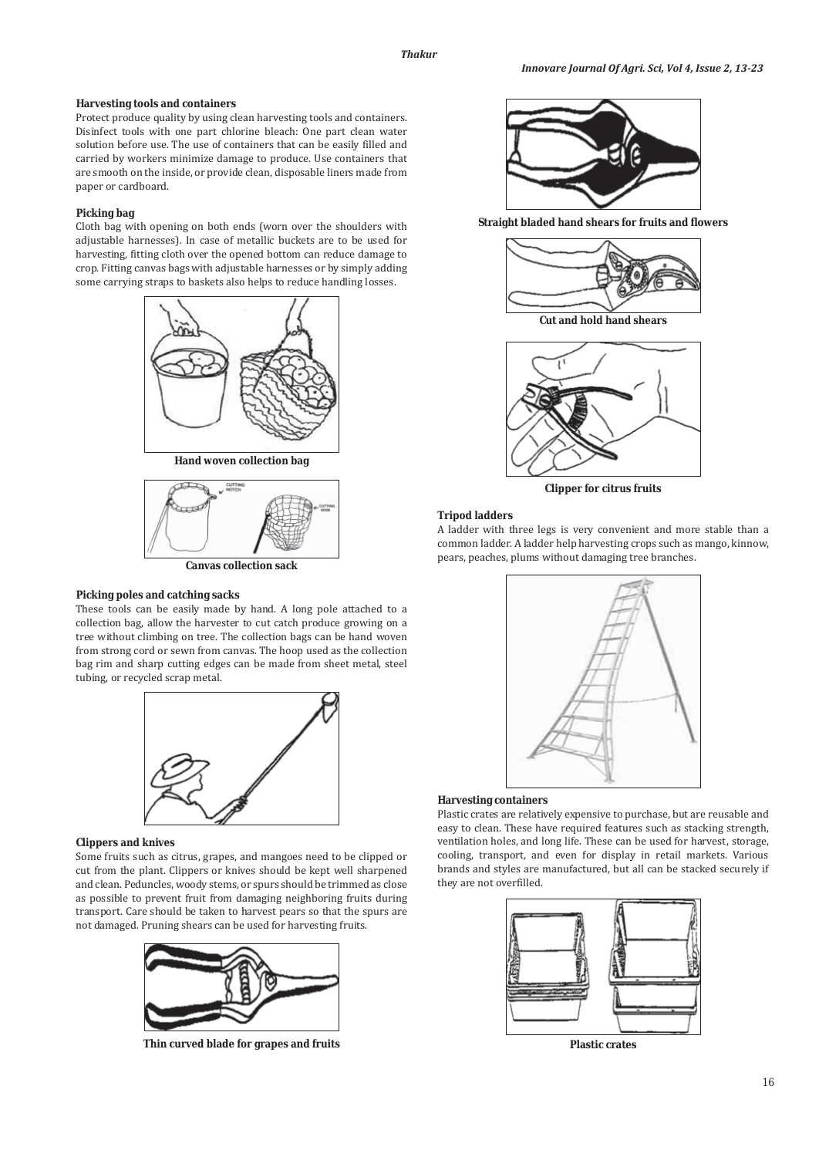## **Harvesting tools and containers**

Protect produce quality by using clean harvesting tools and containers. Disinfect tools with one part chlorine bleach: One part clean water solution before use. The use of containers that can be easily filled and carried by workers minimize damage to produce. Use containers that are smooth on the inside, or provide clean, disposable liners made from paper or cardboard.

## **Picking bag**

Cloth bag with opening on both ends (worn over the shoulders with adjustable harnesses). In case of metallic buckets are to be used for harvesting, fitting cloth over the opened bottom can reduce damage to crop. Fitting canvas bags with adjustable harnesses or by simply adding some carrying straps to baskets also helps to reduce handling losses.





**Canvas collection sack**

## **Picking poles and catching sacks**

These tools can be easily made by hand. A long pole attached to a collection bag, allow the harvester to cut catch produce growing on a tree without climbing on tree. The collection bags can be hand woven from strong cord or sewn from canvas. The hoop used as the collection bag rim and sharp cutting edges can be made from sheet metal, steel tubing, or recycled scrap metal.



### **Clippers and knives**

Some fruits such as citrus, grapes, and mangoes need to be clipped or cut from the plant. Clippers or knives should be kept well sharpened and clean. Peduncles, woody stems, or spurs should be trimmed as close as possible to prevent fruit from damaging neighboring fruits during transport. Care should be taken to harvest pears so that the spurs are not damaged. Pruning shears can be used for harvesting fruits.



**Thin curved blade for grapes and fruits**



**Straight bladed hand shears for fruits and flowers**





**Clipper for citrus fruits**

### **Tripod ladders**

A ladder with three legs is very convenient and more stable than a common ladder. A ladder help harvesting crops such as mango, kinnow, pears, peaches, plums without damaging tree branches.



#### **Harvesting containers**

Plastic crates are relatively expensive to purchase, but are reusable and easy to clean. These have required features such as stacking strength, ventilation holes, and long life. These can be used for harvest, storage, cooling, transport, and even for display in retail markets. Various brands and styles are manufactured, but all can be stacked securely if they are not overfilled.



**Plastic crates**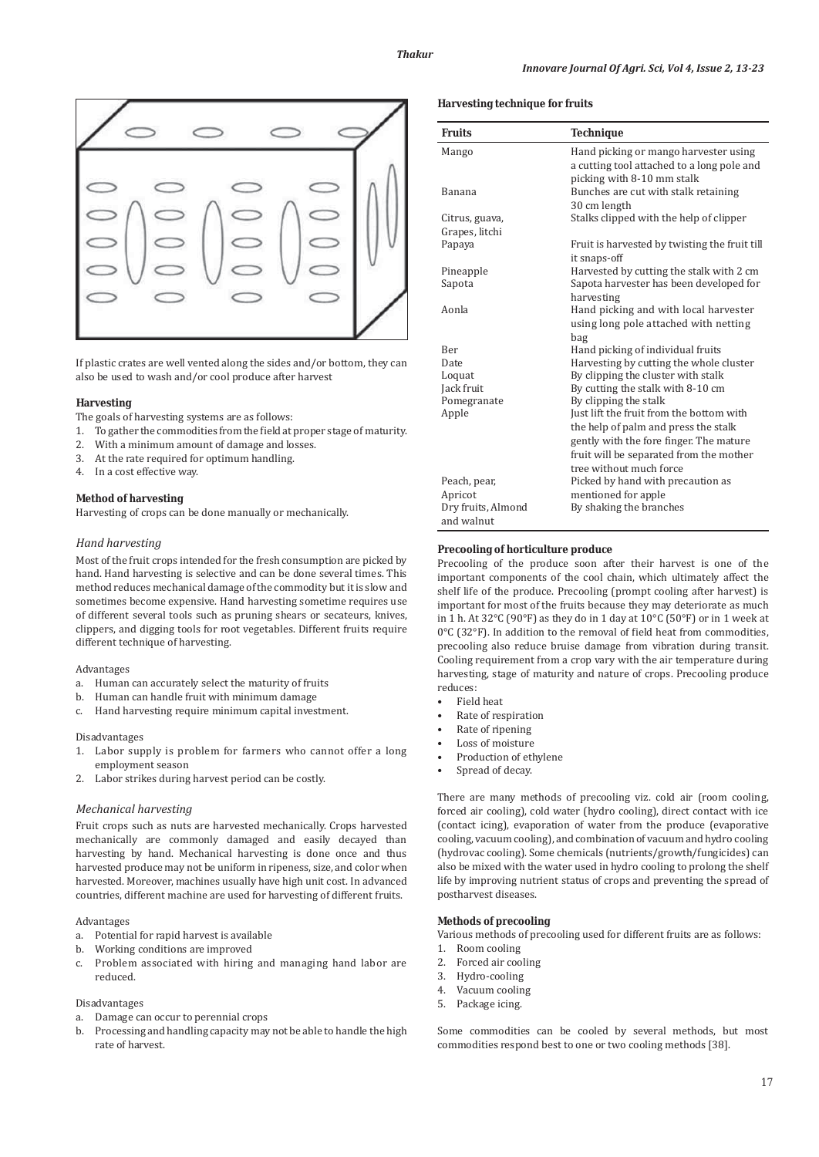

If plastic crates are well vented along the sides and/or bottom, they can also be used to wash and/or cool produce after harvest

## **Harvesting**

The goals of harvesting systems are as follows:

- 1. To gather the commodities from the field at proper stage of maturity.
- 2. With a minimum amount of damage and losses.
- 3. At the rate required for optimum handling.
- 4. In a cost effective way.

## **Method of harvesting**

Harvesting of crops can be done manually or mechanically.

## *Hand harvesting*

Most of the fruit crops intended for the fresh consumption are picked by hand. Hand harvesting is selective and can be done several times. This method reduces mechanical damage of the commodity but it is slow and sometimes become expensive. Hand harvesting sometime requires use of different several tools such as pruning shears or secateurs, knives, clippers, and digging tools for root vegetables. Different fruits require different technique of harvesting.

### Advantages

- a. Human can accurately select the maturity of fruits
- b. Human can handle fruit with minimum damage
- c. Hand harvesting require minimum capital investment.

### Disadvantages

- 1. Labor supply is problem for farmers who cannot offer a long employment season
- 2. Labor strikes during harvest period can be costly.

### *Mechanical harvesting*

Fruit crops such as nuts are harvested mechanically. Crops harvested mechanically are commonly damaged and easily decayed than harvesting by hand. Mechanical harvesting is done once and thus harvested produce may not be uniform in ripeness, size, and color when harvested. Moreover, machines usually have high unit cost. In advanced countries, different machine are used for harvesting of different fruits.

## Advantages

- a. Potential for rapid harvest is available
- b. Working conditions are improved
- c. Problem associated with hiring and managing hand labor are reduced.

## Disadvantages

- Damage can occur to perennial crops
- b. Processing and handling capacity may not be able to handle the high rate of harvest.

### **Harvesting technique for fruits**

| <b>Fruits</b>      | <b>Technique</b>                              |  |
|--------------------|-----------------------------------------------|--|
| Mango              | Hand picking or mango harvester using         |  |
|                    | a cutting tool attached to a long pole and    |  |
|                    | picking with 8-10 mm stalk                    |  |
| Banana             | Bunches are cut with stalk retaining          |  |
|                    | 30 cm length                                  |  |
| Citrus, guava,     | Stalks clipped with the help of clipper       |  |
| Grapes, litchi     |                                               |  |
| Papaya             | Fruit is harvested by twisting the fruit till |  |
|                    | it snaps-off                                  |  |
| Pineapple          | Harvested by cutting the stalk with 2 cm      |  |
| Sapota             | Sapota harvester has been developed for       |  |
|                    | harvesting                                    |  |
| Aonla              | Hand picking and with local harvester         |  |
|                    | using long pole attached with netting         |  |
|                    | bag                                           |  |
| Ber                | Hand picking of individual fruits             |  |
| <b>Date</b>        | Harvesting by cutting the whole cluster       |  |
| Loquat             | By clipping the cluster with stalk            |  |
| Jack fruit         | By cutting the stalk with 8-10 cm             |  |
| Pomegranate        | By clipping the stalk                         |  |
| Apple              | Just lift the fruit from the bottom with      |  |
|                    | the help of palm and press the stalk          |  |
|                    | gently with the fore finger. The mature       |  |
|                    | fruit will be separated from the mother       |  |
|                    | tree without much force                       |  |
| Peach, pear,       | Picked by hand with precaution as             |  |
| Apricot            | mentioned for apple                           |  |
| Dry fruits, Almond | By shaking the branches                       |  |
| and walnut         |                                               |  |

## **Precooling of horticulture produce**

Precooling of the produce soon after their harvest is one of the important components of the cool chain, which ultimately affect the shelf life of the produce. Precooling (prompt cooling after harvest) is important for most of the fruits because they may deteriorate as much in 1 h. At 32°C (90°F) as they do in 1 day at 10°C (50°F) or in 1 week at 0°C (32°F). In addition to the removal of field heat from commodities, precooling also reduce bruise damage from vibration during transit. Cooling requirement from a crop vary with the air temperature during harvesting, stage of maturity and nature of crops. Precooling produce reduces:

- Field heat
- Rate of respiration
- Rate of ripening
- Loss of moisture
- Production of ethylene
- Spread of decay.

There are many methods of precooling viz. cold air (room cooling, forced air cooling), cold water (hydro cooling), direct contact with ice (contact icing), evaporation of water from the produce (evaporative cooling, vacuum cooling), and combination of vacuum and hydro cooling (hydrovac cooling). Some chemicals (nutrients/growth/fungicides) can also be mixed with the water used in hydro cooling to prolong the shelf life by improving nutrient status of crops and preventing the spread of postharvest diseases.

### **Methods of precooling**

Various methods of precooling used for different fruits are as follows:

- 1. Room cooling
- 2. Forced air cooling
- 3. Hydro-cooling
- 4. Vacuum cooling
- 5. Package icing.

Some commodities can be cooled by several methods, but most commodities respond best to one or two cooling methods [38].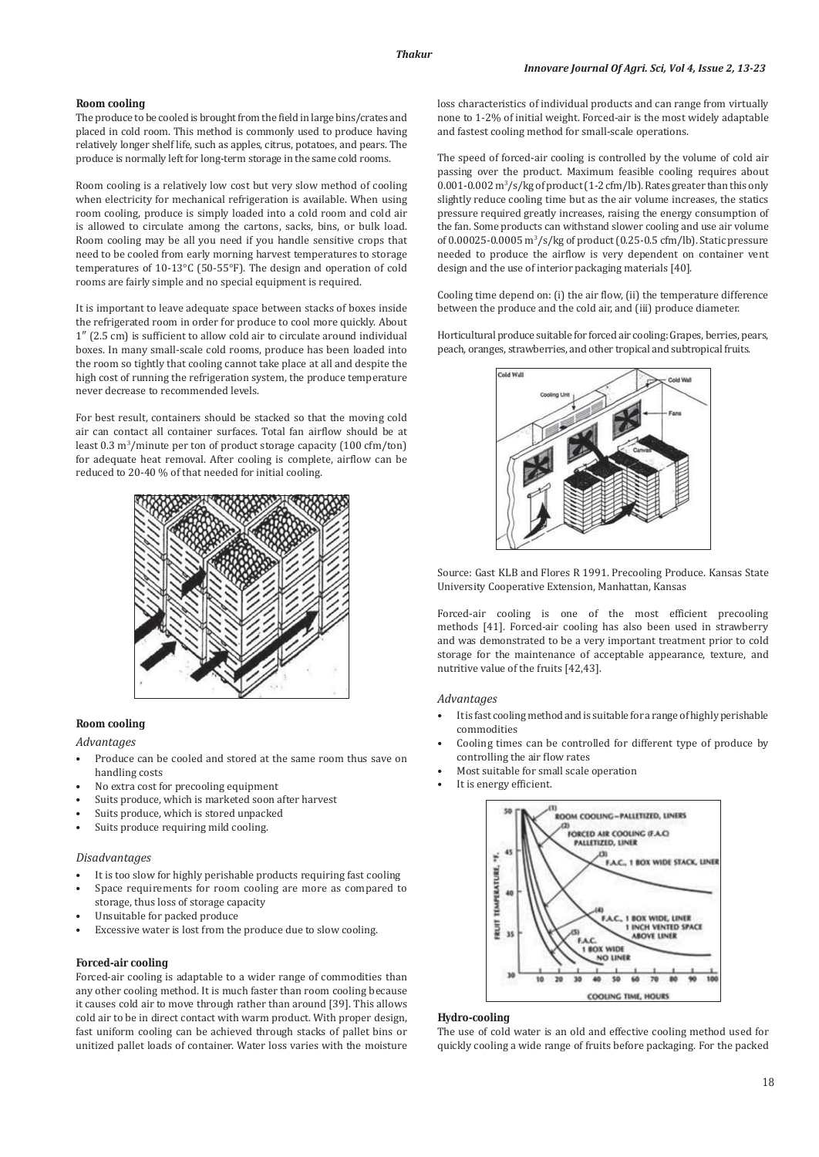## **Room cooling**

The produce to be cooled is brought from the field in large bins/crates and placed in cold room. This method is commonly used to produce having relatively longer shelf life, such as apples, citrus, potatoes, and pears. The produce is normally left for long-term storage in the same cold rooms.

Room cooling is a relatively low cost but very slow method of cooling when electricity for mechanical refrigeration is available. When using room cooling, produce is simply loaded into a cold room and cold air is allowed to circulate among the cartons, sacks, bins, or bulk load. Room cooling may be all you need if you handle sensitive crops that need to be cooled from early morning harvest temperatures to storage temperatures of 10-13°C (50-55°F). The design and operation of cold rooms are fairly simple and no special equipment is required.

It is important to leave adequate space between stacks of boxes inside the refrigerated room in order for produce to cool more quickly. About 1″ (2.5 cm) is sufficient to allow cold air to circulate around individual boxes. In many small-scale cold rooms, produce has been loaded into the room so tightly that cooling cannot take place at all and despite the high cost of running the refrigeration system, the produce temperature never decrease to recommended levels.

For best result, containers should be stacked so that the moving cold air can contact all container surfaces. Total fan airflow should be at least 0.3 m<sup>3</sup>/minute per ton of product storage capacity (100 cfm/ton) for adequate heat removal. After cooling is complete, airflow can be reduced to 20-40 % of that needed for initial cooling.



## **Room cooling**

### *Advantages*

- Produce can be cooled and stored at the same room thus save on handling costs
- No extra cost for precooling equipment
- Suits produce, which is marketed soon after harvest
- Suits produce, which is stored unpacked
- Suits produce requiring mild cooling.

#### *Disadvantages*

- It is too slow for highly perishable products requiring fast cooling
- Space requirements for room cooling are more as compared to storage, thus loss of storage capacity
- Unsuitable for packed produce
- Excessive water is lost from the produce due to slow cooling.

### **Forced-air cooling**

Forced-air cooling is adaptable to a wider range of commodities than any other cooling method. It is much faster than room cooling because it causes cold air to move through rather than around [39]. This allows cold air to be in direct contact with warm product. With proper design, fast uniform cooling can be achieved through stacks of pallet bins or unitized pallet loads of container. Water loss varies with the moisture loss characteristics of individual products and can range from virtually none to 1-2% of initial weight. Forced-air is the most widely adaptable and fastest cooling method for small-scale operations.

The speed of forced-air cooling is controlled by the volume of cold air passing over the product. Maximum feasible cooling requires about 0.001-0.002 m<sup>3</sup>/s/kg of product (1-2 cfm/lb). Rates greater than this only slightly reduce cooling time but as the air volume increases, the statics pressure required greatly increases, raising the energy consumption of the fan. Some products can withstand slower cooling and use air volume of 0.00025-0.0005 m3 /s/kg of product (0.25-0.5 cfm/lb). Static pressure needed to produce the airflow is very dependent on container vent design and the use of interior packaging materials [40].

Cooling time depend on: (i) the air flow, (ii) the temperature difference between the produce and the cold air, and (iii) produce diameter.

Horticultural produce suitable for forced air cooling: Grapes, berries, pears, peach, oranges, strawberries, and other tropical and subtropical fruits.



Source: Gast KLB and Flores R 1991. Precooling Produce. Kansas State University Cooperative Extension, Manhattan, Kansas

Forced-air cooling is one of the most efficient precooling methods [41]. Forced-air cooling has also been used in strawberry and was demonstrated to be a very important treatment prior to cold storage for the maintenance of acceptable appearance, texture, and nutritive value of the fruits [42,43].

### *Advantages*

- It is fast cooling method and is suitable for a range of highly perishable commodities
- Cooling times can be controlled for different type of produce by controlling the air flow rates
- Most suitable for small scale operation
- It is energy efficient.



### **Hydro-cooling**

The use of cold water is an old and effective cooling method used for quickly cooling a wide range of fruits before packaging. For the packed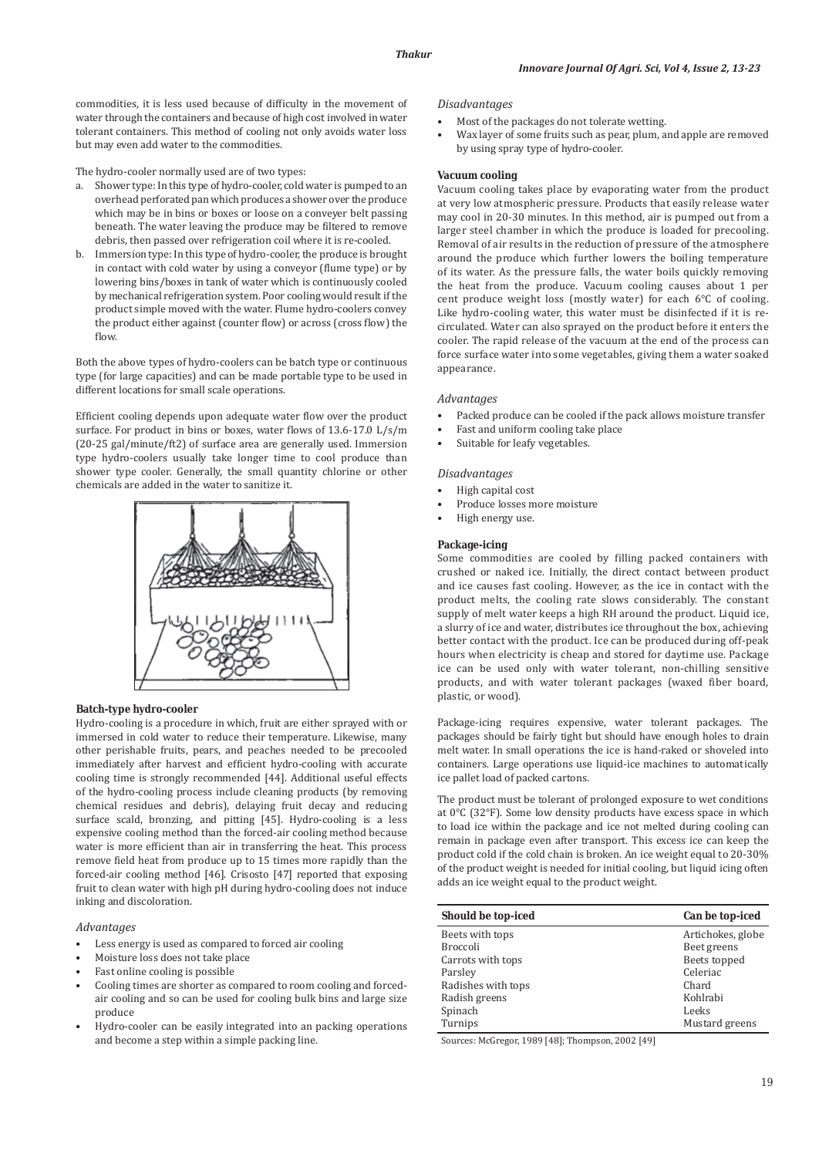commodities, it is less used because of difficulty in the movement of water through the containers and because of high cost involved in water tolerant containers. This method of cooling not only avoids water loss but may even add water to the commodities.

The hydro-cooler normally used are of two types:

- a. Shower type: In this type of hydro-cooler, cold water is pumped to an overhead perforated pan which produces a shower over the produce which may be in bins or boxes or loose on a conveyer belt passing beneath. The water leaving the produce may be filtered to remove debris, then passed over refrigeration coil where it is re-cooled.
- b. Immersion type: In this type of hydro-cooler, the produce is brought in contact with cold water by using a conveyor (flume type) or by lowering bins/boxes in tank of water which is continuously cooled by mechanical refrigeration system. Poor cooling would result if the product simple moved with the water. Flume hydro-coolers convey the product either against (counter flow) or across (cross flow) the flow.

Both the above types of hydro-coolers can be batch type or continuous type (for large capacities) and can be made portable type to be used in different locations for small scale operations.

Efficient cooling depends upon adequate water flow over the product surface. For product in bins or boxes, water flows of 13.6-17.0 L/s/m (20-25 gal/minute/ft2) of surface area are generally used. Immersion type hydro-coolers usually take longer time to cool produce than shower type cooler. Generally, the small quantity chlorine or other chemicals are added in the water to sanitize it.



### **Batch-type hydro-cooler**

Hydro-cooling is a procedure in which, fruit are either sprayed with or immersed in cold water to reduce their temperature. Likewise, many other perishable fruits, pears, and peaches needed to be precooled immediately after harvest and efficient hydro-cooling with accurate cooling time is strongly recommended [44]. Additional useful effects of the hydro-cooling process include cleaning products (by removing chemical residues and debris), delaying fruit decay and reducing surface scald, bronzing, and pitting [45]. Hydro-cooling is a less expensive cooling method than the forced-air cooling method because water is more efficient than air in transferring the heat. This process remove field heat from produce up to 15 times more rapidly than the forced-air cooling method [46]. Crisosto [47] reported that exposing fruit to clean water with high pH during hydro-cooling does not induce inking and discoloration.

## *Advantages*

- Less energy is used as compared to forced air cooling
- Moisture loss does not take place
- Fast online cooling is possible
- Cooling times are shorter as compared to room cooling and forcedair cooling and so can be used for cooling bulk bins and large size produce
- Hydro-cooler can be easily integrated into an packing operations and become a step within a simple packing line.

## *Disadvantages*

- Most of the packages do not tolerate wetting.
- Wax layer of some fruits such as pear, plum, and apple are removed by using spray type of hydro-cooler.

## **Vacuum cooling**

Vacuum cooling takes place by evaporating water from the product at very low atmospheric pressure. Products that easily release water may cool in 20-30 minutes. In this method, air is pumped out from a larger steel chamber in which the produce is loaded for precooling. Removal of air results in the reduction of pressure of the atmosphere around the produce which further lowers the boiling temperature of its water. As the pressure falls, the water boils quickly removing the heat from the produce. Vacuum cooling causes about 1 per cent produce weight loss (mostly water) for each 6°C of cooling. Like hydro-cooling water, this water must be disinfected if it is recirculated. Water can also sprayed on the product before it enters the cooler. The rapid release of the vacuum at the end of the process can force surface water into some vegetables, giving them a water soaked appearance.

### *Advantages*

- Packed produce can be cooled if the pack allows moisture transfer
- Fast and uniform cooling take place
- Suitable for leafy vegetables.

## *Disadvantages*

- High capital cost
- Produce losses more moisture
- High energy use.

### **Package-icing**

Some commodities are cooled by filling packed containers with crushed or naked ice. Initially, the direct contact between product and ice causes fast cooling. However, as the ice in contact with the product melts, the cooling rate slows considerably. The constant supply of melt water keeps a high RH around the product. Liquid ice, a slurry of ice and water, distributes ice throughout the box, achieving better contact with the product. Ice can be produced during off-peak hours when electricity is cheap and stored for daytime use. Package ice can be used only with water tolerant, non-chilling sensitive products, and with water tolerant packages (waxed fiber board, plastic, or wood).

Package-icing requires expensive, water tolerant packages. The packages should be fairly tight but should have enough holes to drain melt water. In small operations the ice is hand-raked or shoveled into containers. Large operations use liquid-ice machines to automatically ice pallet load of packed cartons.

The product must be tolerant of prolonged exposure to wet conditions at 0°C (32°F). Some low density products have excess space in which to load ice within the package and ice not melted during cooling can remain in package even after transport. This excess ice can keep the product cold if the cold chain is broken. An ice weight equal to 20-30% of the product weight is needed for initial cooling, but liquid icing often adds an ice weight equal to the product weight.

| Should be top-iced | Can be top-iced   |
|--------------------|-------------------|
| Beets with tops    | Artichokes, globe |
| <b>Broccoli</b>    | Beet greens       |
| Carrots with tops  | Beets topped      |
| Parsley            | Celeriac          |
| Radishes with tops | Chard             |
| Radish greens      | Kohlrabi          |
| Spinach            | Leeks             |
| Turnips            | Mustard greens    |

Sources: McGregor, 1989 [48]; Thompson, 2002 [49]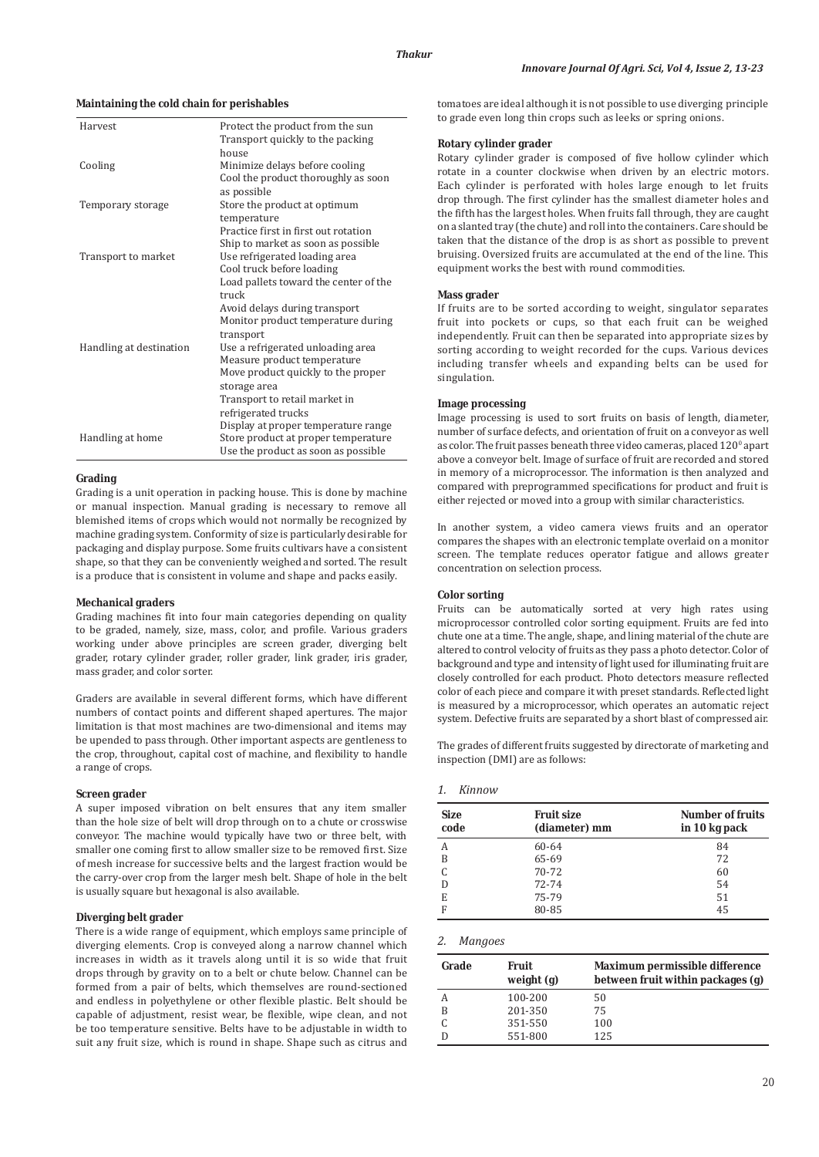### **Maintaining the cold chain for perishables**

| Harvest                 | Protect the product from the sun<br>Transport quickly to the packing                                                                                                              |
|-------------------------|-----------------------------------------------------------------------------------------------------------------------------------------------------------------------------------|
| Cooling                 | house<br>Minimize delays before cooling<br>Cool the product thoroughly as soon                                                                                                    |
| Temporary storage       | as possible<br>Store the product at optimum<br>temperature                                                                                                                        |
| Transport to market     | Practice first in first out rotation<br>Ship to market as soon as possible<br>Use refrigerated loading area<br>Cool truck before loading<br>Load pallets toward the center of the |
| Handling at destination | truck<br>Avoid delays during transport<br>Monitor product temperature during<br>transport<br>Use a refrigerated unloading area<br>Measure product temperature                     |
|                         | Move product quickly to the proper<br>storage area<br>Transport to retail market in                                                                                               |
| Handling at home        | refrigerated trucks<br>Display at proper temperature range<br>Store product at proper temperature<br>Use the product as soon as possible                                          |

## **Grading**

Grading is a unit operation in packing house. This is done by machine or manual inspection. Manual grading is necessary to remove all blemished items of crops which would not normally be recognized by machine grading system. Conformity of size is particularly desirable for packaging and display purpose. Some fruits cultivars have a consistent shape, so that they can be conveniently weighed and sorted. The result is a produce that is consistent in volume and shape and packs easily.

### **Mechanical graders**

Grading machines fit into four main categories depending on quality to be graded, namely, size, mass, color, and profile. Various graders working under above principles are screen grader, diverging belt grader, rotary cylinder grader, roller grader, link grader, iris grader, mass grader, and color sorter.

Graders are available in several different forms, which have different numbers of contact points and different shaped apertures. The major limitation is that most machines are two-dimensional and items may be upended to pass through. Other important aspects are gentleness to the crop, throughout, capital cost of machine, and flexibility to handle a range of crops.

## **Screen grader**

A super imposed vibration on belt ensures that any item smaller than the hole size of belt will drop through on to a chute or crosswise conveyor. The machine would typically have two or three belt, with smaller one coming first to allow smaller size to be removed first. Size of mesh increase for successive belts and the largest fraction would be the carry-over crop from the larger mesh belt. Shape of hole in the belt is usually square but hexagonal is also available.

## **Diverging belt grader**

There is a wide range of equipment, which employs same principle of diverging elements. Crop is conveyed along a narrow channel which increases in width as it travels along until it is so wide that fruit drops through by gravity on to a belt or chute below. Channel can be formed from a pair of belts, which themselves are round-sectioned and endless in polyethylene or other flexible plastic. Belt should be capable of adjustment, resist wear, be flexible, wipe clean, and not be too temperature sensitive. Belts have to be adjustable in width to suit any fruit size, which is round in shape. Shape such as citrus and tomatoes are ideal although it is not possible to use diverging principle to grade even long thin crops such as leeks or spring onions.

### **Rotary cylinder grader**

Rotary cylinder grader is composed of five hollow cylinder which rotate in a counter clockwise when driven by an electric motors. Each cylinder is perforated with holes large enough to let fruits drop through. The first cylinder has the smallest diameter holes and the fifth has the largest holes. When fruits fall through, they are caught on a slanted tray (the chute) and roll into the containers. Care should be taken that the distance of the drop is as short as possible to prevent bruising. Oversized fruits are accumulated at the end of the line. This equipment works the best with round commodities.

### **Mass grader**

If fruits are to be sorted according to weight, singulator separates fruit into pockets or cups, so that each fruit can be weighed independently. Fruit can then be separated into appropriate sizes by sorting according to weight recorded for the cups. Various devices including transfer wheels and expanding belts can be used for singulation.

### **Image processing**

Image processing is used to sort fruits on basis of length, diameter, number of surface defects, and orientation of fruit on a conveyor as well as color. The fruit passes beneath three video cameras, placed  $120^{\circ}$  apart above a conveyor belt. Image of surface of fruit are recorded and stored in memory of a microprocessor. The information is then analyzed and compared with preprogrammed specifications for product and fruit is either rejected or moved into a group with similar characteristics.

In another system, a video camera views fruits and an operator compares the shapes with an electronic template overlaid on a monitor screen. The template reduces operator fatigue and allows greater concentration on selection process.

## **Color sorting**

Fruits can be automatically sorted at very high rates using microprocessor controlled color sorting equipment. Fruits are fed into chute one at a time. The angle, shape, and lining material of the chute are altered to control velocity of fruits as they pass a photo detector. Color of background and type and intensity of light used for illuminating fruit are closely controlled for each product. Photo detectors measure reflected color of each piece and compare it with preset standards. Reflected light is measured by a microprocessor, which operates an automatic reject system. Defective fruits are separated by a short blast of compressed air.

The grades of different fruits suggested by directorate of marketing and inspection (DMI) are as follows:

## *1. Kinnow*

| <b>Size</b><br>code | <b>Fruit size</b><br>(diameter) mm | <b>Number of fruits</b><br>in 10 kg pack |
|---------------------|------------------------------------|------------------------------------------|
| А                   | 60-64                              | 84                                       |
| B                   | 65-69                              | 72                                       |
| C                   | 70-72                              | 60                                       |
|                     | $72 - 74$                          | 54                                       |
| E                   | 75-79                              | 51                                       |
| F                   | 80-85                              | 45                                       |

# *2. Mangoes*

| Grade | Fruit<br>weight $(g)$ | Maximum permissible difference<br>between fruit within packages (g) |
|-------|-----------------------|---------------------------------------------------------------------|
| А     | 100-200               | 50                                                                  |
| B     | 201-350               | 75                                                                  |
|       | 351-550               | 100                                                                 |
|       | 551-800               | 125                                                                 |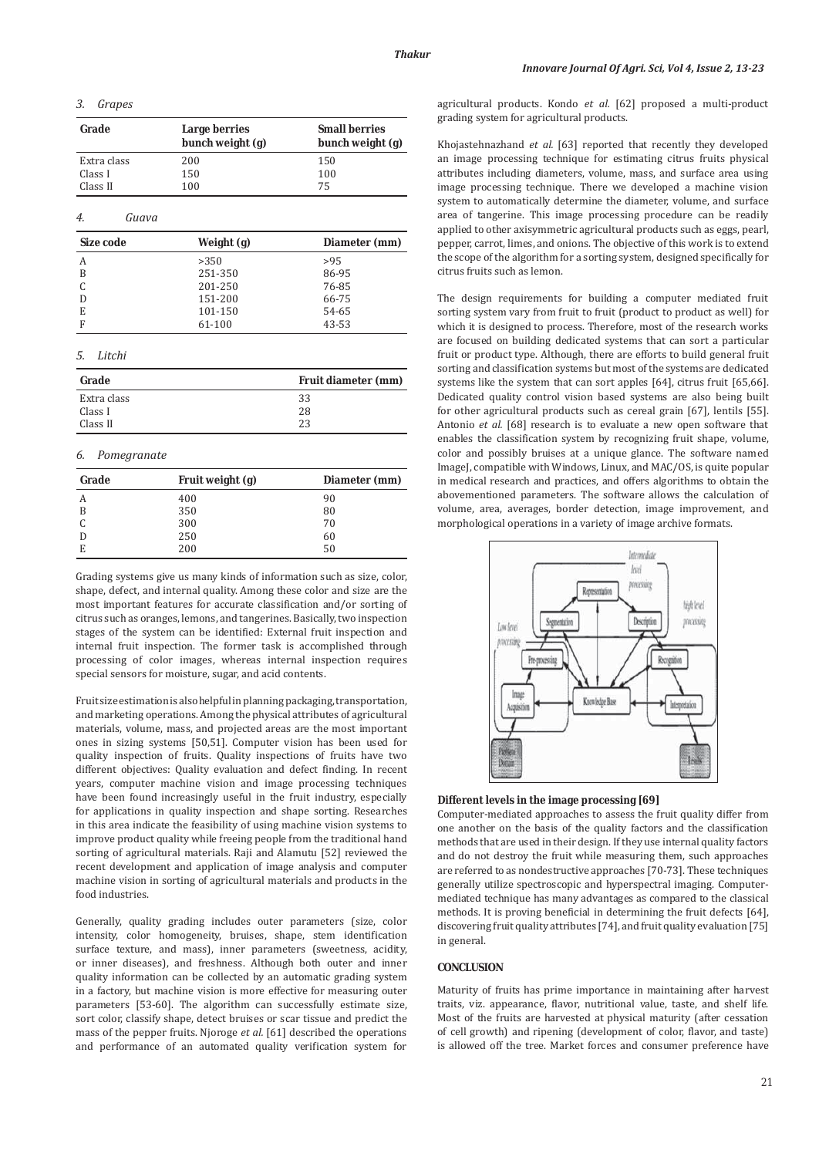## *3. Grapes*

| Grade                  | <b>Large berries</b><br>bunch weight (g) | <b>Small berries</b><br>bunch weight (g) |
|------------------------|------------------------------------------|------------------------------------------|
| Extra class<br>Class I | 200<br>150                               | 150<br>100                               |
| Class II               | 100                                      | 75                                       |
| 4.<br>Guava            |                                          |                                          |
| Size code              | Weight (g)                               | Diameter (mm)                            |
| A                      | >350                                     | >95                                      |
| R                      | 251-350                                  | 86-95                                    |

| B | 251-350 | 86-95 |
|---|---------|-------|
| C | 201-250 | 76-85 |
| D | 151-200 | 66-75 |
| E | 101-150 | 54-65 |
| F | 61-100  | 43-53 |
|   |         |       |

### *5. Litchi*

| Grade       | <b>Fruit diameter (mm)</b> |
|-------------|----------------------------|
| Extra class | 33                         |
| Class I     | 28                         |
| Class II    | 23                         |

## *6. Pomegranate*

| Grade | Fruit weight (g) | Diameter (mm) |
|-------|------------------|---------------|
| А     | 400              | 90            |
| B     | 350              | 80            |
|       | 300              | 70            |
| D     | 250              | 60            |
| E     | 200              | 50            |

Grading systems give us many kinds of information such as size, color, shape, defect, and internal quality. Among these color and size are the most important features for accurate classification and/or sorting of citrus such as oranges, lemons, and tangerines. Basically, two inspection stages of the system can be identified: External fruit inspection and internal fruit inspection. The former task is accomplished through processing of color images, whereas internal inspection requires special sensors for moisture, sugar, and acid contents.

Fruit size estimation is also helpful in planning packaging, transportation, and marketing operations. Among the physical attributes of agricultural materials, volume, mass, and projected areas are the most important ones in sizing systems [50,51]. Computer vision has been used for quality inspection of fruits. Quality inspections of fruits have two different objectives: Quality evaluation and defect finding. In recent years, computer machine vision and image processing techniques have been found increasingly useful in the fruit industry, especially for applications in quality inspection and shape sorting. Researches in this area indicate the feasibility of using machine vision systems to improve product quality while freeing people from the traditional hand sorting of agricultural materials. Raji and Alamutu [52] reviewed the recent development and application of image analysis and computer machine vision in sorting of agricultural materials and products in the food industries.

Generally, quality grading includes outer parameters (size, color intensity, color homogeneity, bruises, shape, stem identification surface texture, and mass), inner parameters (sweetness, acidity, or inner diseases), and freshness. Although both outer and inner quality information can be collected by an automatic grading system in a factory, but machine vision is more effective for measuring outer parameters [53-60]. The algorithm can successfully estimate size, sort color, classify shape, detect bruises or scar tissue and predict the mass of the pepper fruits. Njoroge *et al.* [61] described the operations and performance of an automated quality verification system for agricultural products. Kondo *et al.* [62] proposed a multi-product grading system for agricultural products.

Khojastehnazhand *et al.* [63] reported that recently they developed an image processing technique for estimating citrus fruits physical attributes including diameters, volume, mass, and surface area using image processing technique. There we developed a machine vision system to automatically determine the diameter, volume, and surface area of tangerine. This image processing procedure can be readily applied to other axisymmetric agricultural products such as eggs, pearl, pepper, carrot, limes, and onions. The objective of this work is to extend the scope of the algorithm for a sorting system, designed specifically for citrus fruits such as lemon.

The design requirements for building a computer mediated fruit sorting system vary from fruit to fruit (product to product as well) for which it is designed to process. Therefore, most of the research works are focused on building dedicated systems that can sort a particular fruit or product type. Although, there are efforts to build general fruit sorting and classification systems but most of the systems are dedicated systems like the system that can sort apples [64], citrus fruit [65,66]. Dedicated quality control vision based systems are also being built for other agricultural products such as cereal grain [67], lentils [55]. Antonio *et al.* [68] research is to evaluate a new open software that enables the classification system by recognizing fruit shape, volume, color and possibly bruises at a unique glance. The software named ImageJ, compatible with Windows, Linux, and MAC/OS, is quite popular in medical research and practices, and offers algorithms to obtain the abovementioned parameters. The software allows the calculation of volume, area, averages, border detection, image improvement, and morphological operations in a variety of image archive formats.



**Different levels in the image processing [69]**

Computer-mediated approaches to assess the fruit quality differ from one another on the basis of the quality factors and the classification methods that are used in their design. If they use internal quality factors and do not destroy the fruit while measuring them, such approaches are referred to as nondestructive approaches [70-73]. These techniques generally utilize spectroscopic and hyperspectral imaging. Computermediated technique has many advantages as compared to the classical methods. It is proving beneficial in determining the fruit defects [64], discovering fruit quality attributes [74], and fruit quality evaluation [75] in general.

## **CONCLUSION**

Maturity of fruits has prime importance in maintaining after harvest traits, viz. appearance, flavor, nutritional value, taste, and shelf life. Most of the fruits are harvested at physical maturity (after cessation of cell growth) and ripening (development of color, flavor, and taste) is allowed off the tree. Market forces and consumer preference have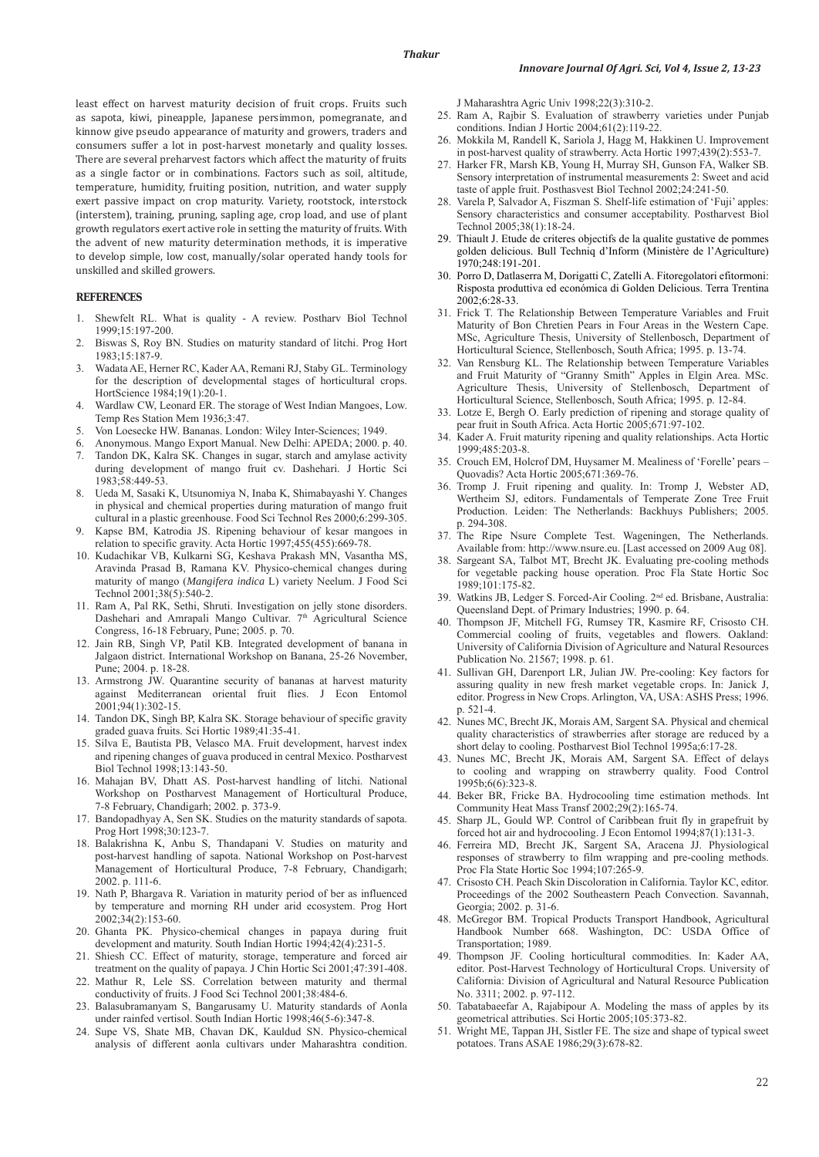least effect on harvest maturity decision of fruit crops. Fruits such as sapota, kiwi, pineapple, Japanese persimmon, pomegranate, and kinnow give pseudo appearance of maturity and growers, traders and consumers suffer a lot in post-harvest monetarly and quality losses. There are several preharvest factors which affect the maturity of fruits as a single factor or in combinations. Factors such as soil, altitude, temperature, humidity, fruiting position, nutrition, and water supply exert passive impact on crop maturity. Variety, rootstock, interstock (interstem), training, pruning, sapling age, crop load, and use of plant growth regulators exert active role in setting the maturity of fruits. With the advent of new maturity determination methods, it is imperative to develop simple, low cost, manually/solar operated handy tools for unskilled and skilled growers.

## **REFERENCES**

- 1. Shewfelt RL. What is quality A review. Postharv Biol Technol 1999;15:197-200.
- 2. Biswas S, Roy BN. Studies on maturity standard of litchi. Prog Hort 1983;15:187-9.
- 3. Wadata AE, Herner RC, Kader AA, Remani RJ, Staby GL. Terminology for the description of developmental stages of horticultural crops. HortScience 1984;19(1):20-1.
- 4. Wardlaw CW, Leonard ER. The storage of West Indian Mangoes, Low. Temp Res Station Mem 1936;3:47.
- 5. Von Loesecke HW. Bananas. London: Wiley Inter-Sciences; 1949.
- 6. Anonymous. Mango Export Manual. New Delhi: APEDA; 2000. p. 40.
- Tandon DK, Kalra SK. Changes in sugar, starch and amylase activity during development of mango fruit cv. Dashehari. J Hortic Sci 1983;58:449-53.
- 8. Ueda M, Sasaki K, Utsunomiya N, Inaba K, Shimabayashi Y. Changes in physical and chemical properties during maturation of mango fruit cultural in a plastic greenhouse. Food Sci Technol Res 2000;6:299-305.
- Kapse BM, Katrodia JS. Ripening behaviour of kesar mangoes in relation to specific gravity. Acta Hortic 1997;455(455):669-78.
- 10. Kudachikar VB, Kulkarni SG, Keshava Prakash MN, Vasantha MS, Aravinda Prasad B, Ramana KV. Physico-chemical changes during maturity of mango (*Mangifera indica* L) variety Neelum. J Food Sci Technol 2001;38(5):540-2.
- 11. Ram A, Pal RK, Sethi, Shruti. Investigation on jelly stone disorders. Dashehari and Amrapali Mango Cultivar. 7<sup>th</sup> Agricultural Science Congress, 16-18 February, Pune; 2005. p. 70.
- 12. Jain RB, Singh VP, Patil KB. Integrated development of banana in Jalgaon district. International Workshop on Banana, 25-26 November, Pune; 2004. p. 18-28.
- 13. Armstrong JW. Quarantine security of bananas at harvest maturity against Mediterranean oriental fruit flies. J Econ Entomol 2001;94(1):302-15.
- 14. Tandon DK, Singh BP, Kalra SK. Storage behaviour of specific gravity graded guava fruits. Sci Hortic 1989;41:35-41.
- 15. Silva E, Bautista PB, Velasco MA. Fruit development, harvest index and ripening changes of guava produced in central Mexico. Postharvest Biol Technol 1998;13:143-50.
- 16. Mahajan BV, Dhatt AS. Post-harvest handling of litchi. National Workshop on Postharvest Management of Horticultural Produce, 7-8 February, Chandigarh; 2002. p. 373-9.
- 17. Bandopadhyay A, Sen SK. Studies on the maturity standards of sapota. Prog Hort 1998;30:123-7.
- 18. Balakrishna K, Anbu S, Thandapani V. Studies on maturity and post-harvest handling of sapota. National Workshop on Post-harvest Management of Horticultural Produce, 7-8 February, Chandigarh; 2002. p. 111-6.
- 19. Nath P, Bhargava R. Variation in maturity period of ber as influenced by temperature and morning RH under arid ecosystem. Prog Hort 2002;34(2):153-60.
- 20. Ghanta PK. Physico-chemical changes in papaya during fruit development and maturity. South Indian Hortic 1994;42(4):231-5.
- 21. Shiesh CC. Effect of maturity, storage, temperature and forced air treatment on the quality of papaya. J Chin Hortic Sci 2001;47:391-408.
- 22. Mathur R, Lele SS. Correlation between maturity and thermal conductivity of fruits. J Food Sci Technol 2001;38:484-6.
- 23. Balasubramanyam S, Bangarusamy U. Maturity standards of Aonla under rainfed vertisol. South Indian Hortic 1998;46(5-6):347-8.
- 24. Supe VS, Shate MB, Chavan DK, Kauldud SN. Physico-chemical analysis of different aonla cultivars under Maharashtra condition.

J Maharashtra Agric Univ 1998;22(3):310-2.

- 25. Ram A, Rajbir S. Evaluation of strawberry varieties under Punjab conditions. Indian J Hortic 2004;61(2):119-22.
- 26. Mokkila M, Randell K, Sariola J, Hagg M, Hakkinen U. Improvement in post-harvest quality of strawberry. Acta Hortic 1997;439(2):553-7.
- 27. Harker FR, Marsh KB, Young H, Murray SH, Gunson FA, Walker SB. Sensory interpretation of instrumental measurements 2: Sweet and acid taste of apple fruit. Posthasvest Biol Technol 2002;24:241-50.
- 28. Varela P, Salvador A, Fiszman S. Shelf-life estimation of 'Fuji' apples: Sensory characteristics and consumer acceptability. Postharvest Biol Technol 2005;38(1):18-24.
- 29. Thiault J. Etude de criteres objectifs de la qualite gustative de pommes golden delicious. Bull Techniq d'Inform (Ministère de l'Agriculture) 1970;248:191-201.
- 30. Porro D, Datlaserra M, Dorigatti C, Zatelli A. Fitoregolatori efitormoni: Risposta produttiva ed económica di Golden Delicious. Terra Trentina 2002;6:28-33.
- 31. Frick T. The Relationship Between Temperature Variables and Fruit Maturity of Bon Chretien Pears in Four Areas in the Western Cape. MSc, Agriculture Thesis, University of Stellenbosch, Department of Horticultural Science, Stellenbosch, South Africa; 1995. p. 13-74.
- 32. Van Rensburg KL. The Relationship between Temperature Variables and Fruit Maturity of "Granny Smith" Apples in Elgin Area. MSc. Agriculture Thesis, University of Stellenbosch, Department of Horticultural Science, Stellenbosch, South Africa; 1995. p. 12-84.
- 33. Lotze E, Bergh O. Early prediction of ripening and storage quality of pear fruit in South Africa. Acta Hortic 2005;671:97-102.
- 34. Kader A. Fruit maturity ripening and quality relationships. Acta Hortic 1999;485:203-8.
- 35. Crouch EM, Holcrof DM, Huysamer M. Mealiness of 'Forelle' pears Quovadis? Acta Hortic 2005;671:369-76.
- 36. Tromp J. Fruit ripening and quality. In: Tromp J, Webster AD, Wertheim SJ, editors. Fundamentals of Temperate Zone Tree Fruit Production. Leiden: The Netherlands: Backhuys Publishers; 2005. p. 294-308.
- 37. The Ripe Nsure Complete Test. Wageningen, The Netherlands. Available from: http://www.nsure.eu. [Last accessed on 2009 Aug 08].
- 38. Sargeant SA, Talbot MT, Brecht JK. Evaluating pre-cooling methods for vegetable packing house operation. Proc Fla State Hortic Soc 1989;101:175-82.
- Watkins JB, Ledger S. Forced-Air Cooling. 2<sup>nd</sup> ed. Brisbane, Australia: Queensland Dept. of Primary Industries; 1990. p. 64.
- 40. Thompson JF, Mitchell FG, Rumsey TR, Kasmire RF, Crisosto CH. Commercial cooling of fruits, vegetables and flowers. Oakland: University of California Division of Agriculture and Natural Resources Publication No. 21567; 1998. p. 61.
- 41. Sullivan GH, Darenport LR, Julian JW. Pre-cooling: Key factors for assuring quality in new fresh market vegetable crops. In: Janick J, editor. Progress in New Crops. Arlington, VA, USA: ASHS Press; 1996. p. 521-4.
- 42. Nunes MC, Brecht JK, Morais AM, Sargent SA. Physical and chemical quality characteristics of strawberries after storage are reduced by a short delay to cooling. Postharvest Biol Technol 1995a;6:17-28.
- 43. Nunes MC, Brecht JK, Morais AM, Sargent SA. Effect of delays to cooling and wrapping on strawberry quality. Food Control 1995b;6(6):323-8.
- 44. Beker BR, Fricke BA. Hydrocooling time estimation methods. Int Community Heat Mass Transf 2002;29(2):165-74.
- 45. Sharp JL, Gould WP. Control of Caribbean fruit fly in grapefruit by forced hot air and hydrocooling. J Econ Entomol 1994;87(1):131-3.
- 46. Ferreira MD, Brecht JK, Sargent SA, Aracena JJ. Physiological responses of strawberry to film wrapping and pre-cooling methods. Proc Fla State Hortic Soc 1994;107:265-9.
- 47. Crisosto CH. Peach Skin Discoloration in California. Taylor KC, editor. Proceedings of the 2002 Southeastern Peach Convection. Savannah, Georgia; 2002. p. 31-6.
- 48. McGregor BM. Tropical Products Transport Handbook, Agricultural Handbook Number 668. Washington, DC: USDA Office of Transportation; 1989.
- 49. Thompson JF. Cooling horticultural commodities. In: Kader AA, editor. Post-Harvest Technology of Horticultural Crops. University of California: Division of Agricultural and Natural Resource Publication No. 3311; 2002. p. 97-112.
- 50. Tabatabaeefar A, Rajabipour A. Modeling the mass of apples by its geometrical attributies. Sci Hortic 2005;105:373-82.
- 51. Wright ME, Tappan JH, Sistler FE. The size and shape of typical sweet potatoes. Trans ASAE 1986;29(3):678-82.